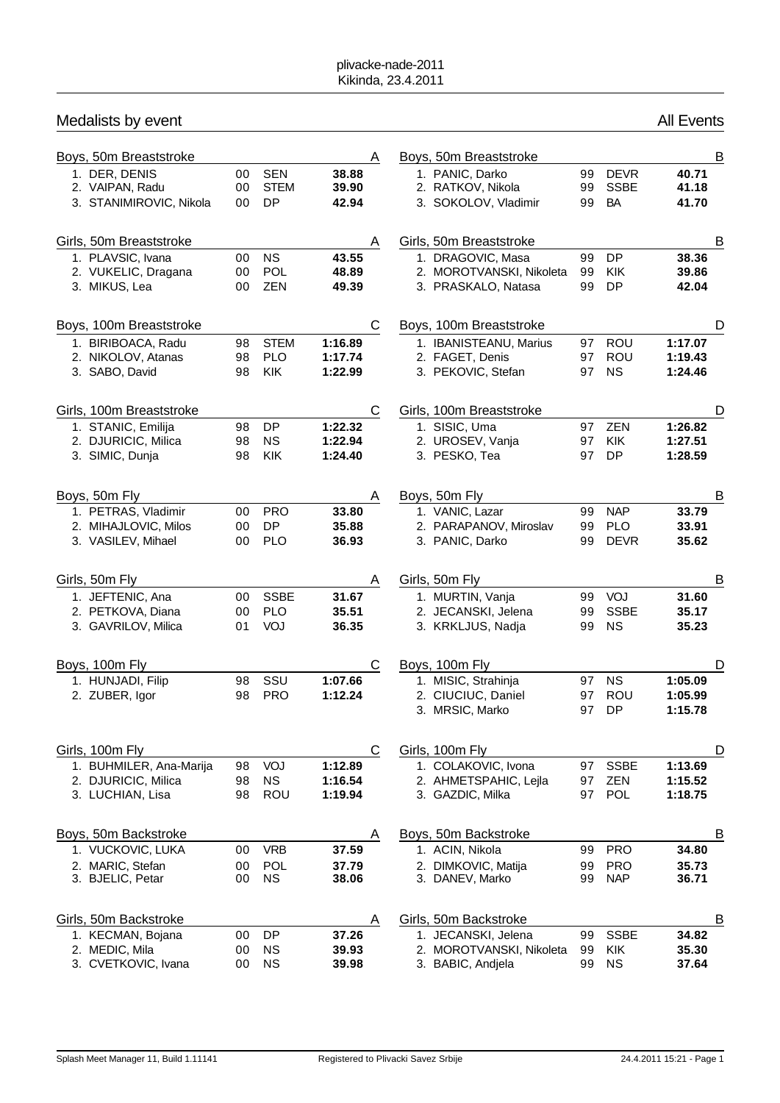| Medalists by event |                                        |          |                          |                    |   |                                                 |          |                         | <b>All Events</b>  |  |
|--------------------|----------------------------------------|----------|--------------------------|--------------------|---|-------------------------------------------------|----------|-------------------------|--------------------|--|
|                    | Boys, 50m Breaststroke                 |          |                          |                    | A | Boys, 50m Breaststroke                          |          |                         | B                  |  |
|                    | 1. DER, DENIS                          | 00       | <b>SEN</b>               | 38.88              |   | 1. PANIC, Darko                                 | 99       | <b>DEVR</b>             | 40.71              |  |
|                    | 2. VAIPAN, Radu                        | 00       | <b>STEM</b>              | 39.90              |   | 2. RATKOV, Nikola                               | 99       | <b>SSBE</b>             | 41.18              |  |
|                    | 3. STANIMIROVIC, Nikola                | 00       | <b>DP</b>                | 42.94              |   | 3. SOKOLOV, Vladimir                            | 99       | <b>BA</b>               | 41.70              |  |
|                    | Girls, 50m Breaststroke                |          |                          |                    | A | Girls, 50m Breaststroke                         |          |                         | B                  |  |
|                    | 1. PLAVSIC, Ivana                      | 00       | <b>NS</b>                | 43.55              |   | 1. DRAGOVIC, Masa                               | 99       | <b>DP</b>               | 38.36              |  |
|                    | 2. VUKELIC, Dragana<br>3. MIKUS, Lea   | 00<br>00 | POL<br>ZEN               | 48.89<br>49.39     |   | 2. MOROTVANSKI, Nikoleta<br>3. PRASKALO, Natasa | 99<br>99 | <b>KIK</b><br>DP        | 39.86<br>42.04     |  |
|                    |                                        |          |                          |                    |   |                                                 |          |                         |                    |  |
|                    | Boys, 100m Breaststroke                |          |                          |                    | C | Boys, 100m Breaststroke                         |          |                         | D                  |  |
|                    | 1. BIRIBOACA, Radu                     | 98       | <b>STEM</b>              | 1:16.89            |   | 1. IBANISTEANU, Marius                          | 97       | <b>ROU</b>              | 1:17.07            |  |
|                    | 2. NIKOLOV, Atanas<br>3. SABO, David   | 98<br>98 | <b>PLO</b><br><b>KIK</b> | 1:17.74<br>1:22.99 |   | 2. FAGET, Denis<br>3. PEKOVIC, Stefan           | 97<br>97 | <b>ROU</b><br><b>NS</b> | 1:19.43<br>1:24.46 |  |
|                    |                                        |          |                          |                    |   |                                                 |          |                         |                    |  |
|                    | Girls, 100m Breaststroke               |          |                          |                    | С | Girls, 100m Breaststroke                        |          |                         | D                  |  |
|                    | 1. STANIC, Emilija                     | 98       | DP                       | 1:22.32            |   | 1. SISIC, Uma                                   | 97       | ZEN                     | 1:26.82            |  |
|                    | 2. DJURICIC, Milica<br>3. SIMIC, Dunja | 98<br>98 | <b>NS</b><br>KIK         | 1:22.94<br>1:24.40 |   | 2. UROSEV, Vanja<br>3. PESKO, Tea               | 97<br>97 | KIK<br><b>DP</b>        | 1:27.51<br>1:28.59 |  |
|                    |                                        |          |                          |                    |   |                                                 |          |                         |                    |  |
|                    | Boys, 50m Fly                          |          |                          |                    | A | Boys, 50m Fly                                   |          |                         | B                  |  |
|                    | 1. PETRAS, Vladimir                    | 00       | <b>PRO</b>               | 33.80              |   | 1. VANIC, Lazar                                 | 99       | <b>NAP</b>              | 33.79              |  |
|                    | 2. MIHAJLOVIC, Milos                   | 00       | DP                       | 35.88              |   | 2. PARAPANOV, Miroslav                          | 99       | <b>PLO</b>              | 33.91              |  |
|                    | 3. VASILEV, Mihael                     | 00       | <b>PLO</b>               | 36.93              |   | 3. PANIC, Darko                                 | 99       | <b>DEVR</b>             | 35.62              |  |
|                    | Girls, 50m Fly                         |          |                          |                    | A | Girls, 50m Fly                                  |          |                         | B                  |  |
|                    | 1. JEFTENIC, Ana                       | 00       | <b>SSBE</b>              | 31.67              |   | 1. MURTIN, Vanja                                | 99       | VOJ                     | 31.60              |  |
|                    | 2. PETKOVA, Diana                      | 00       | <b>PLO</b>               | 35.51              |   | 2. JECANSKI, Jelena                             | 99       | <b>SSBE</b>             | 35.17              |  |
|                    | 3. GAVRILOV, Milica                    | 01       | VOJ                      | 36.35              |   | 3. KRKLJUS, Nadja                               | 99       | <b>NS</b>               | 35.23              |  |
|                    | Boys, 100m Fly                         |          |                          |                    | С | Boys, 100m Fly                                  |          |                         | D                  |  |
|                    | 1. HUNJADI, Filip                      | 98       | SSU                      | 1:07.66            |   | 1. MISIC, Strahinja                             | 97       | <b>NS</b>               | 1:05.09            |  |
|                    | 2. ZUBER, Igor                         | 98       | <b>PRO</b>               | 1:12.24            |   | 2. CIUCIUC, Daniel                              |          | 97 ROU                  | 1:05.99            |  |
|                    |                                        |          |                          |                    |   | 3. MRSIC, Marko                                 |          | 97 DP                   | 1:15.78            |  |
|                    | Girls, 100m Fly                        |          |                          |                    | C | Girls, 100m Fly                                 |          |                         | D                  |  |
|                    | 1. BUHMILER, Ana-Marija                | 98       | VOJ                      | 1:12.89            |   | 1. COLAKOVIC, Ivona                             | 97       | <b>SSBE</b>             | 1:13.69            |  |
|                    | 2. DJURICIC, Milica                    | 98       | <b>NS</b>                | 1:16.54            |   | 2. AHMETSPAHIC, Lejla                           | 97       | <b>ZEN</b>              | 1:15.52            |  |
|                    | 3. LUCHIAN, Lisa                       | 98       | ROU                      | 1:19.94            |   | 3. GAZDIC, Milka                                | 97       | <b>POL</b>              | 1:18.75            |  |
|                    | Boys, 50m Backstroke                   |          |                          |                    | A | Boys, 50m Backstroke                            |          |                         | B                  |  |
|                    | 1. VUCKOVIC, LUKA                      | 00       | <b>VRB</b>               | 37.59              |   | 1. ACIN, Nikola                                 | 99       | <b>PRO</b>              | 34.80              |  |
|                    | 2. MARIC, Stefan                       | 00       | <b>POL</b>               | 37.79              |   | 2. DIMKOVIC, Matija                             | 99       | <b>PRO</b>              | 35.73              |  |
|                    | 3. BJELIC, Petar                       | 00       | <b>NS</b>                | 38.06              |   | 3. DANEV, Marko                                 | 99       | <b>NAP</b>              | 36.71              |  |
|                    | Girls, 50m Backstroke                  |          |                          |                    | A | Girls, 50m Backstroke                           |          |                         | B                  |  |
|                    | 1. KECMAN, Bojana                      | 00       | DP                       | 37.26              |   | 1. JECANSKI, Jelena                             | 99       | <b>SSBE</b>             | 34.82              |  |
|                    | 2. MEDIC, Mila                         | 00       | <b>NS</b>                | 39.93              |   | 2. MOROTVANSKI, Nikoleta                        | 99       | KIK                     | 35.30              |  |
|                    | 3. CVETKOVIC, Ivana                    | 00       | <b>NS</b>                | 39.98              |   | 3. BABIC, Andjela                               | 99       | <b>NS</b>               | 37.64              |  |